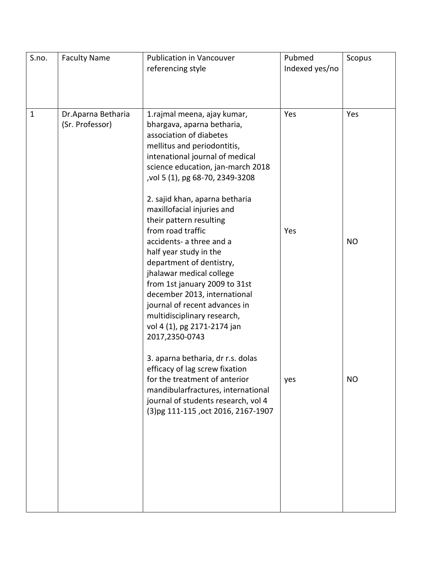| S.no.        | <b>Faculty Name</b>                   | <b>Publication in Vancouver</b><br>referencing style                                                                                                                                                                                                                                                                                         | Pubmed<br>Indexed yes/no | Scopus    |
|--------------|---------------------------------------|----------------------------------------------------------------------------------------------------------------------------------------------------------------------------------------------------------------------------------------------------------------------------------------------------------------------------------------------|--------------------------|-----------|
| $\mathbf{1}$ | Dr.Aparna Betharia<br>(Sr. Professor) | 1.rajmal meena, ajay kumar,<br>bhargava, aparna betharia,<br>association of diabetes<br>mellitus and periodontitis,<br>intenational journal of medical<br>science education, jan-march 2018<br>vol 5 (1), pg 68-70, 2349-3208<br>2. sajid khan, aparna betharia<br>maxillofacial injuries and                                                | Yes                      | Yes       |
|              |                                       | their pattern resulting<br>from road traffic<br>accidents- a three and a<br>half year study in the<br>department of dentistry,<br>jhalawar medical college<br>from 1st january 2009 to 31st<br>december 2013, international<br>journal of recent advances in<br>multidisciplinary research,<br>vol 4 (1), pg 2171-2174 jan<br>2017,2350-0743 | Yes                      | <b>NO</b> |
|              |                                       | 3. aparna betharia, dr r.s. dolas<br>efficacy of lag screw fixation<br>for the treatment of anterior<br>mandibularfractures, international<br>journal of students research, vol 4<br>(3)pg 111-115, oct 2016, 2167-1907                                                                                                                      | yes                      | NO.       |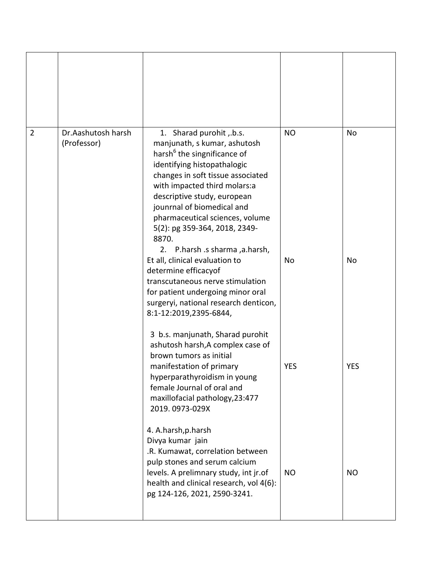| $\overline{2}$ | Dr.Aashutosh harsh<br>(Professor) | 1. Sharad purohit , b.s.<br>manjunath, s kumar, ashutosh<br>harsh <sup>6</sup> the singnificance of<br>identifying histopathalogic<br>changes in soft tissue associated<br>with impacted third molars:a<br>descriptive study, european<br>jounrnal of biomedical and<br>pharmaceutical sciences, volume<br>5(2): pg 359-364, 2018, 2349-<br>8870.<br>P.harsh .s sharma, a.harsh,<br>2. | <b>NO</b>  | <b>No</b>  |
|----------------|-----------------------------------|----------------------------------------------------------------------------------------------------------------------------------------------------------------------------------------------------------------------------------------------------------------------------------------------------------------------------------------------------------------------------------------|------------|------------|
|                |                                   | Et all, clinical evaluation to<br>determine efficacyof<br>transcutaneous nerve stimulation<br>for patient undergoing minor oral<br>surgeryi, national research denticon,<br>8:1-12:2019,2395-6844,<br>3 b.s. manjunath, Sharad purohit                                                                                                                                                 | No         | No         |
|                |                                   | ashutosh harsh, A complex case of<br>brown tumors as initial<br>manifestation of primary<br>hyperparathyroidism in young<br>female Journal of oral and<br>maxillofacial pathology, 23:477<br>2019.0973-029X                                                                                                                                                                            | <b>YES</b> | <b>YES</b> |
|                |                                   | 4. A.harsh, p.harsh<br>Divya kumar jain<br>.R. Kumawat, correlation between<br>pulp stones and serum calcium<br>levels. A prelimnary study, int jr.of<br>health and clinical research, vol 4(6):<br>pg 124-126, 2021, 2590-3241.                                                                                                                                                       | <b>NO</b>  | <b>NO</b>  |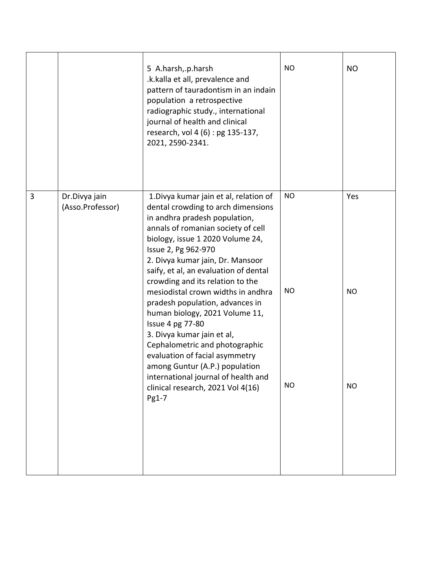|   |                                   | 5 A.harsh,.p.harsh<br>.k.kalla et all, prevalence and<br>pattern of tauradontism in an indain<br>population a retrospective<br>radiographic study., international<br>journal of health and clinical<br>research, vol 4 (6) : pg 135-137,<br>2021, 2590-2341.                                                                    | <b>NO</b> | <b>NO</b> |
|---|-----------------------------------|---------------------------------------------------------------------------------------------------------------------------------------------------------------------------------------------------------------------------------------------------------------------------------------------------------------------------------|-----------|-----------|
| 3 | Dr.Divya jain<br>(Asso.Professor) | 1. Divya kumar jain et al, relation of<br>dental crowding to arch dimensions<br>in andhra pradesh population,<br>annals of romanian society of cell<br>biology, issue 1 2020 Volume 24,<br>Issue 2, Pg 962-970<br>2. Divya kumar jain, Dr. Mansoor<br>saify, et al, an evaluation of dental<br>crowding and its relation to the | <b>NO</b> | Yes       |
|   |                                   | mesiodistal crown widths in andhra<br>pradesh population, advances in<br>human biology, 2021 Volume 11,<br>Issue 4 pg 77-80<br>3. Divya kumar jain et al,<br>Cephalometric and photographic<br>evaluation of facial asymmetry<br>among Guntur (A.P.) population<br>international journal of health and                          | <b>NO</b> | <b>NO</b> |
|   |                                   | clinical research, 2021 Vol 4(16)<br>Pg1-7                                                                                                                                                                                                                                                                                      | <b>NO</b> | <b>NO</b> |